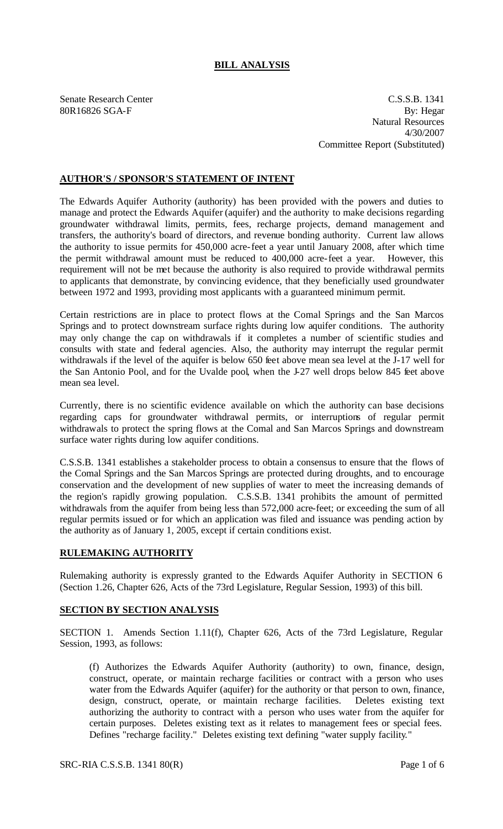## **BILL ANALYSIS**

Senate Research Center C.S.S.B. 1341 80R16826 SGA-F By: Hegar Natural Resources 4/30/2007 Committee Report (Substituted)

## **AUTHOR'S / SPONSOR'S STATEMENT OF INTENT**

The Edwards Aquifer Authority (authority) has been provided with the powers and duties to manage and protect the Edwards Aquifer (aquifer) and the authority to make decisions regarding groundwater withdrawal limits, permits, fees, recharge projects, demand management and transfers, the authority's board of directors, and revenue bonding authority. Current law allows the authority to issue permits for 450,000 acre-feet a year until January 2008, after which time the permit withdrawal amount must be reduced to 400,000 acre-feet a year. However, this requirement will not be met because the authority is also required to provide withdrawal permits to applicants that demonstrate, by convincing evidence, that they beneficially used groundwater between 1972 and 1993, providing most applicants with a guaranteed minimum permit.

Certain restrictions are in place to protect flows at the Comal Springs and the San Marcos Springs and to protect downstream surface rights during low aquifer conditions. The authority may only change the cap on withdrawals if it completes a number of scientific studies and consults with state and federal agencies. Also, the authority may interrupt the regular permit withdrawals if the level of the aquifer is below 650 feet above mean sea level at the J-17 well for the San Antonio Pool, and for the Uvalde pool, when the J-27 well drops below 845 feet above mean sea level.

Currently, there is no scientific evidence available on which the authority can base decisions regarding caps for groundwater withdrawal permits, or interruptions of regular permit withdrawals to protect the spring flows at the Comal and San Marcos Springs and downstream surface water rights during low aquifer conditions.

C.S.S.B. 1341 establishes a stakeholder process to obtain a consensus to ensure that the flows of the Comal Springs and the San Marcos Springs are protected during droughts, and to encourage conservation and the development of new supplies of water to meet the increasing demands of the region's rapidly growing population. C.S.S.B. 1341 prohibits the amount of permitted withdrawals from the aquifer from being less than 572,000 acre-feet; or exceeding the sum of all regular permits issued or for which an application was filed and issuance was pending action by the authority as of January 1, 2005, except if certain conditions exist.

## **RULEMAKING AUTHORITY**

Rulemaking authority is expressly granted to the Edwards Aquifer Authority in SECTION 6 (Section 1.26, Chapter 626, Acts of the 73rd Legislature, Regular Session, 1993) of this bill.

## **SECTION BY SECTION ANALYSIS**

SECTION 1. Amends Section 1.11(f), Chapter 626, Acts of the 73rd Legislature, Regular Session, 1993, as follows:

(f) Authorizes the Edwards Aquifer Authority (authority) to own, finance, design, construct, operate, or maintain recharge facilities or contract with a person who uses water from the Edwards Aquifer (aquifer) for the authority or that person to own, finance, design, construct, operate, or maintain recharge facilities. Deletes existing text authorizing the authority to contract with a person who uses water from the aquifer for certain purposes. Deletes existing text as it relates to management fees or special fees. Defines "recharge facility." Deletes existing text defining "water supply facility."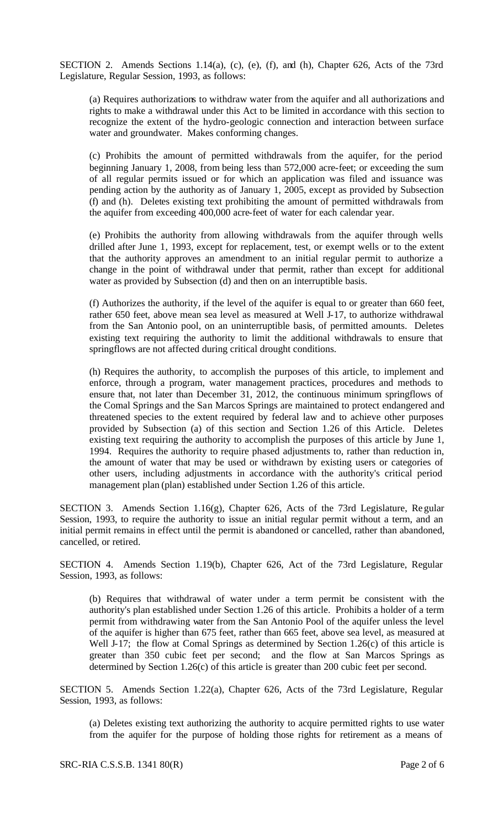SECTION 2. Amends Sections 1.14(a), (c), (e), (f), and (h), Chapter 626, Acts of the 73rd Legislature, Regular Session, 1993, as follows:

(a) Requires authorizations to withdraw water from the aquifer and all authorizations and rights to make a withdrawal under this Act to be limited in accordance with this section to recognize the extent of the hydro-geologic connection and interaction between surface water and groundwater. Makes conforming changes.

(c) Prohibits the amount of permitted withdrawals from the aquifer, for the period beginning January 1, 2008, from being less than 572,000 acre-feet; or exceeding the sum of all regular permits issued or for which an application was filed and issuance was pending action by the authority as of January 1, 2005, except as provided by Subsection (f) and (h). Deletes existing text prohibiting the amount of permitted withdrawals from the aquifer from exceeding 400,000 acre-feet of water for each calendar year.

(e) Prohibits the authority from allowing withdrawals from the aquifer through wells drilled after June 1, 1993, except for replacement, test, or exempt wells or to the extent that the authority approves an amendment to an initial regular permit to authorize a change in the point of withdrawal under that permit, rather than except for additional water as provided by Subsection (d) and then on an interruptible basis.

(f) Authorizes the authority, if the level of the aquifer is equal to or greater than 660 feet, rather 650 feet, above mean sea level as measured at Well J-17, to authorize withdrawal from the San Antonio pool, on an uninterruptible basis, of permitted amounts. Deletes existing text requiring the authority to limit the additional withdrawals to ensure that springflows are not affected during critical drought conditions.

(h) Requires the authority, to accomplish the purposes of this article, to implement and enforce, through a program, water management practices, procedures and methods to ensure that, not later than December 31, 2012, the continuous minimum springflows of the Comal Springs and the San Marcos Springs are maintained to protect endangered and threatened species to the extent required by federal law and to achieve other purposes provided by Subsection (a) of this section and Section 1.26 of this Article. Deletes existing text requiring the authority to accomplish the purposes of this article by June 1, 1994. Requires the authority to require phased adjustments to, rather than reduction in, the amount of water that may be used or withdrawn by existing users or categories of other users, including adjustments in accordance with the authority's critical period management plan (plan) established under Section 1.26 of this article.

SECTION 3. Amends Section 1.16(g), Chapter 626, Acts of the 73rd Legislature, Regular Session, 1993, to require the authority to issue an initial regular permit without a term, and an initial permit remains in effect until the permit is abandoned or cancelled, rather than abandoned, cancelled, or retired.

SECTION 4. Amends Section 1.19(b), Chapter 626, Act of the 73rd Legislature, Regular Session, 1993, as follows:

(b) Requires that withdrawal of water under a term permit be consistent with the authority's plan established under Section 1.26 of this article. Prohibits a holder of a term permit from withdrawing water from the San Antonio Pool of the aquifer unless the level of the aquifer is higher than 675 feet, rather than 665 feet, above sea level, as measured at Well J-17; the flow at Comal Springs as determined by Section 1.26(c) of this article is greater than 350 cubic feet per second; and the flow at San Marcos Springs as determined by Section 1.26(c) of this article is greater than 200 cubic feet per second.

SECTION 5. Amends Section 1.22(a), Chapter 626, Acts of the 73rd Legislature, Regular Session, 1993, as follows:

(a) Deletes existing text authorizing the authority to acquire permitted rights to use water from the aquifer for the purpose of holding those rights for retirement as a means of

SRC-RIA C.S.S.B. 1341 80(R) Page 2 of 6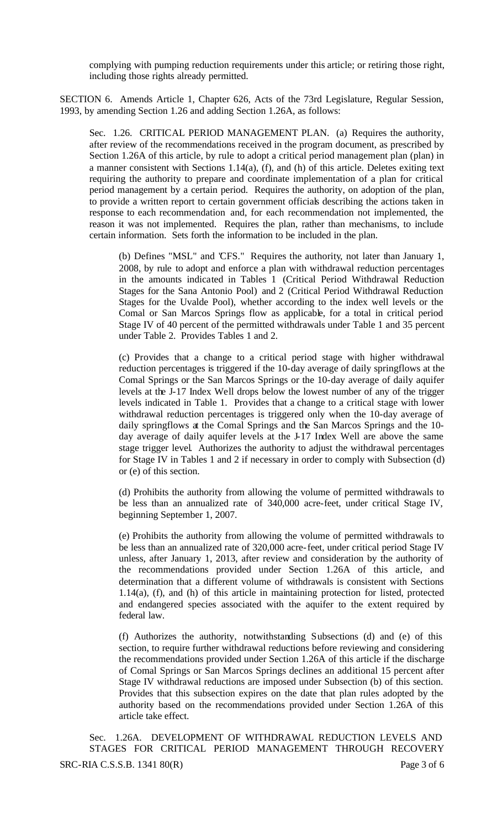complying with pumping reduction requirements under this article; or retiring those right, including those rights already permitted.

SECTION 6. Amends Article 1, Chapter 626, Acts of the 73rd Legislature, Regular Session, 1993, by amending Section 1.26 and adding Section 1.26A, as follows:

Sec. 1.26. CRITICAL PERIOD MANAGEMENT PLAN. (a) Requires the authority, after review of the recommendations received in the program document, as prescribed by Section 1.26A of this article, by rule to adopt a critical period management plan (plan) in a manner consistent with Sections 1.14(a), (f), and (h) of this article. Deletes exiting text requiring the authority to prepare and coordinate implementation of a plan for critical period management by a certain period. Requires the authority, on adoption of the plan, to provide a written report to certain government officials describing the actions taken in response to each recommendation and, for each recommendation not implemented, the reason it was not implemented. Requires the plan, rather than mechanisms, to include certain information. Sets forth the information to be included in the plan.

(b) Defines "MSL" and "CFS." Requires the authority, not later than January 1, 2008, by rule to adopt and enforce a plan with withdrawal reduction percentages in the amounts indicated in Tables 1 (Critical Period Withdrawal Reduction Stages for the Sana Antonio Pool) and 2 (Critical Period Withdrawal Reduction Stages for the Uvalde Pool), whether according to the index well levels or the Comal or San Marcos Springs flow as applicable, for a total in critical period Stage IV of 40 percent of the permitted withdrawals under Table 1 and 35 percent under Table 2. Provides Tables 1 and 2.

(c) Provides that a change to a critical period stage with higher withdrawal reduction percentages is triggered if the 10-day average of daily springflows at the Comal Springs or the San Marcos Springs or the 10-day average of daily aquifer levels at the J-17 Index Well drops below the lowest number of any of the trigger levels indicated in Table 1. Provides that a change to a critical stage with lower withdrawal reduction percentages is triggered only when the 10-day average of daily springflows at the Comal Springs and the San Marcos Springs and the 10 day average of daily aquifer levels at the J-17 Index Well are above the same stage trigger level. Authorizes the authority to adjust the withdrawal percentages for Stage IV in Tables 1 and 2 if necessary in order to comply with Subsection (d) or (e) of this section.

(d) Prohibits the authority from allowing the volume of permitted withdrawals to be less than an annualized rate of 340,000 acre-feet, under critical Stage IV, beginning September 1, 2007.

(e) Prohibits the authority from allowing the volume of permitted withdrawals to be less than an annualized rate of 320,000 acre-feet, under critical period Stage IV unless, after January 1, 2013, after review and consideration by the authority of the recommendations provided under Section 1.26A of this article, and determination that a different volume of withdrawals is consistent with Sections 1.14(a), (f), and (h) of this article in maintaining protection for listed, protected and endangered species associated with the aquifer to the extent required by federal law.

(f) Authorizes the authority, notwithstanding Subsections (d) and (e) of this section, to require further withdrawal reductions before reviewing and considering the recommendations provided under Section 1.26A of this article if the discharge of Comal Springs or San Marcos Springs declines an additional 15 percent after Stage IV withdrawal reductions are imposed under Subsection (b) of this section. Provides that this subsection expires on the date that plan rules adopted by the authority based on the recommendations provided under Section 1.26A of this article take effect.

SRC-RIA C.S.S.B. 1341 80(R) Page 3 of 6 Sec. 1.26A. DEVELOPMENT OF WITHDRAWAL REDUCTION LEVELS AND STAGES FOR CRITICAL PERIOD MANAGEMENT THROUGH RECOVERY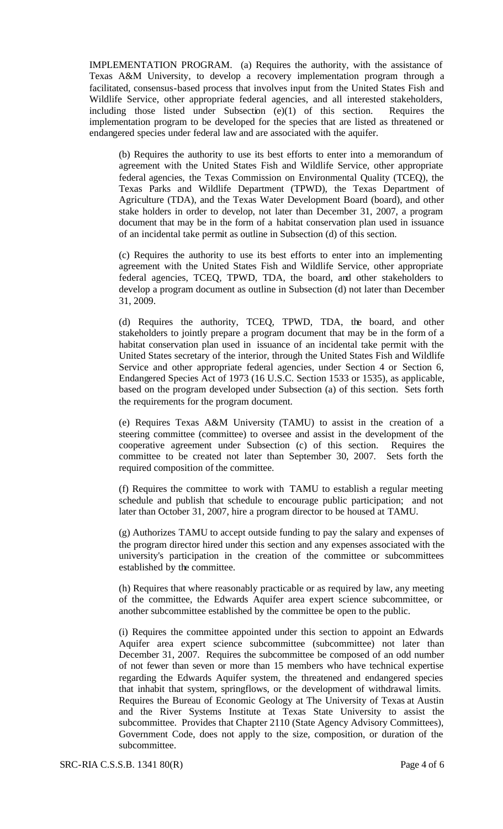IMPLEMENTATION PROGRAM. (a) Requires the authority, with the assistance of Texas A&M University, to develop a recovery implementation program through a facilitated, consensus-based process that involves input from the United States Fish and Wildlife Service, other appropriate federal agencies, and all interested stakeholders, including those listed under Subsection (e)(1) of this section. Requires the implementation program to be developed for the species that are listed as threatened or endangered species under federal law and are associated with the aquifer.

(b) Requires the authority to use its best efforts to enter into a memorandum of agreement with the United States Fish and Wildlife Service, other appropriate federal agencies, the Texas Commission on Environmental Quality (TCEQ), the Texas Parks and Wildlife Department (TPWD), the Texas Department of Agriculture (TDA), and the Texas Water Development Board (board), and other stake holders in order to develop, not later than December 31, 2007, a program document that may be in the form of a habitat conservation plan used in issuance of an incidental take permit as outline in Subsection (d) of this section.

(c) Requires the authority to use its best efforts to enter into an implementing agreement with the United States Fish and Wildlife Service, other appropriate federal agencies, TCEQ, TPWD, TDA, the board, and other stakeholders to develop a program document as outline in Subsection (d) not later than December 31, 2009.

(d) Requires the authority, TCEQ, TPWD, TDA, the board, and other stakeholders to jointly prepare a program document that may be in the form of a habitat conservation plan used in issuance of an incidental take permit with the United States secretary of the interior, through the United States Fish and Wildlife Service and other appropriate federal agencies, under Section 4 or Section 6, Endangered Species Act of 1973 (16 U.S.C. Section 1533 or 1535), as applicable, based on the program developed under Subsection (a) of this section. Sets forth the requirements for the program document.

(e) Requires Texas A&M University (TAMU) to assist in the creation of a steering committee (committee) to oversee and assist in the development of the cooperative agreement under Subsection (c) of this section. Requires the committee to be created not later than September 30, 2007. Sets forth the required composition of the committee.

(f) Requires the committee to work with TAMU to establish a regular meeting schedule and publish that schedule to encourage public participation; and not later than October 31, 2007, hire a program director to be housed at TAMU.

(g) Authorizes TAMU to accept outside funding to pay the salary and expenses of the program director hired under this section and any expenses associated with the university's participation in the creation of the committee or subcommittees established by the committee.

(h) Requires that where reasonably practicable or as required by law, any meeting of the committee, the Edwards Aquifer area expert science subcommittee, or another subcommittee established by the committee be open to the public.

(i) Requires the committee appointed under this section to appoint an Edwards Aquifer area expert science subcommittee (subcommittee) not later than December 31, 2007. Requires the subcommittee be composed of an odd number of not fewer than seven or more than 15 members who have technical expertise regarding the Edwards Aquifer system, the threatened and endangered species that inhabit that system, springflows, or the development of withdrawal limits. Requires the Bureau of Economic Geology at The University of Texas at Austin and the River Systems Institute at Texas State University to assist the subcommittee. Provides that Chapter 2110 (State Agency Advisory Committees), Government Code, does not apply to the size, composition, or duration of the subcommittee.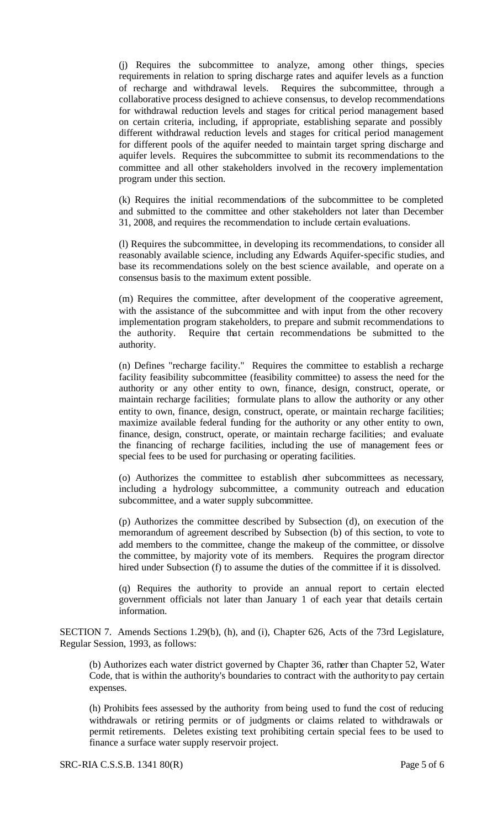(j) Requires the subcommittee to analyze, among other things, species requirements in relation to spring discharge rates and aquifer levels as a function of recharge and withdrawal levels. Requires the subcommittee, through a collaborative process designed to achieve consensus, to develop recommendations for withdrawal reduction levels and stages for critical period management based on certain criteria, including, if appropriate, establishing separate and possibly different withdrawal reduction levels and stages for critical period management for different pools of the aquifer needed to maintain target spring discharge and aquifer levels. Requires the subcommittee to submit its recommendations to the committee and all other stakeholders involved in the recovery implementation program under this section.

(k) Requires the initial recommendations of the subcommittee to be completed and submitted to the committee and other stakeholders not later than December 31, 2008, and requires the recommendation to include certain evaluations.

(l) Requires the subcommittee, in developing its recommendations, to consider all reasonably available science, including any Edwards Aquifer-specific studies, and base its recommendations solely on the best science available, and operate on a consensus basis to the maximum extent possible.

(m) Requires the committee, after development of the cooperative agreement, with the assistance of the subcommittee and with input from the other recovery implementation program stakeholders, to prepare and submit recommendations to the authority. Require that certain recommendations be submitted to the authority.

(n) Defines "recharge facility." Requires the committee to establish a recharge facility feasibility subcommittee (feasibility committee) to assess the need for the authority or any other entity to own, finance, design, construct, operate, or maintain recharge facilities; formulate plans to allow the authority or any other entity to own, finance, design, construct, operate, or maintain recharge facilities; maximize available federal funding for the authority or any other entity to own, finance, design, construct, operate, or maintain recharge facilities; and evaluate the financing of recharge facilities, including the use of management fees or special fees to be used for purchasing or operating facilities.

(o) Authorizes the committee to establish other subcommittees as necessary, including a hydrology subcommittee, a community outreach and education subcommittee, and a water supply subcommittee.

(p) Authorizes the committee described by Subsection (d), on execution of the memorandum of agreement described by Subsection (b) of this section, to vote to add members to the committee, change the makeup of the committee, or dissolve the committee, by majority vote of its members. Requires the program director hired under Subsection (f) to assume the duties of the committee if it is dissolved.

(q) Requires the authority to provide an annual report to certain elected government officials not later than January 1 of each year that details certain information.

SECTION 7. Amends Sections 1.29(b), (h), and (i), Chapter 626, Acts of the 73rd Legislature, Regular Session, 1993, as follows:

(b) Authorizes each water district governed by Chapter 36, rather than Chapter 52, Water Code, that is within the authority's boundaries to contract with the authority to pay certain expenses.

(h) Prohibits fees assessed by the authority from being used to fund the cost of reducing withdrawals or retiring permits or of judgments or claims related to withdrawals or permit retirements. Deletes existing text prohibiting certain special fees to be used to finance a surface water supply reservoir project.